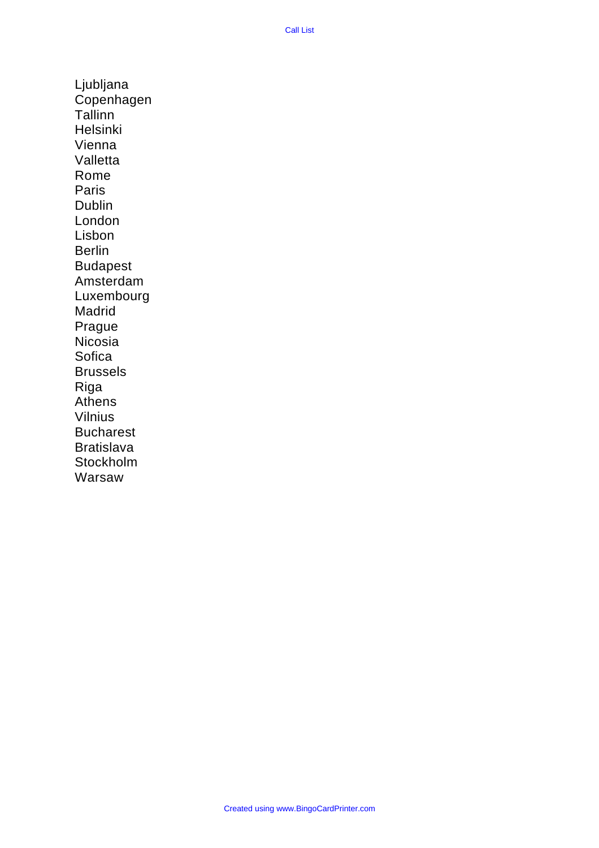Ljubljana Copenhagen **Tallinn** Helsinki Vienna Valletta Rome Paris Dublin London Lisbon Berlin Budapest Amsterdam Luxembourg Madrid Prague Nicosia **Sofica** Brussels Riga Athens Vilnius Bucharest **Bratislava** Stockholm Warsaw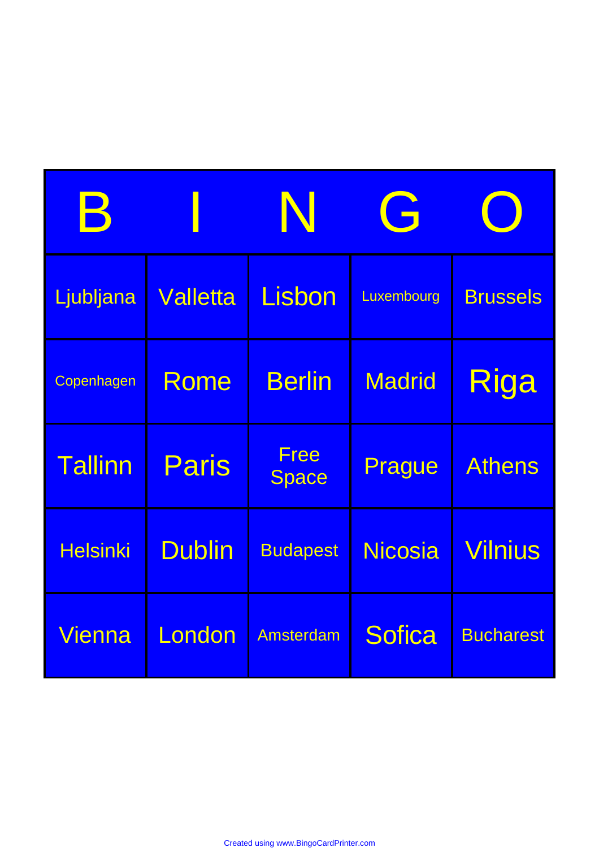| $\bm{\mathsf{B}}$ |                 | N                    | G              |                  |
|-------------------|-----------------|----------------------|----------------|------------------|
| Ljubljana         | <b>Valletta</b> | Lisbon               | Luxembourg     | <b>Brussels</b>  |
| Copenhagen        | Rome            | <b>Berlin</b>        | <b>Madrid</b>  | Riga             |
| <b>Tallinn</b>    | <b>Paris</b>    | Free<br><b>Space</b> | Prague         | <b>Athens</b>    |
| <b>Helsinki</b>   | <b>Dublin</b>   | <b>Budapest</b>      | <b>Nicosia</b> | <b>Vilnius</b>   |
| Vienna            | London          | <b>Amsterdam</b>     | <b>Sofica</b>  | <b>Bucharest</b> |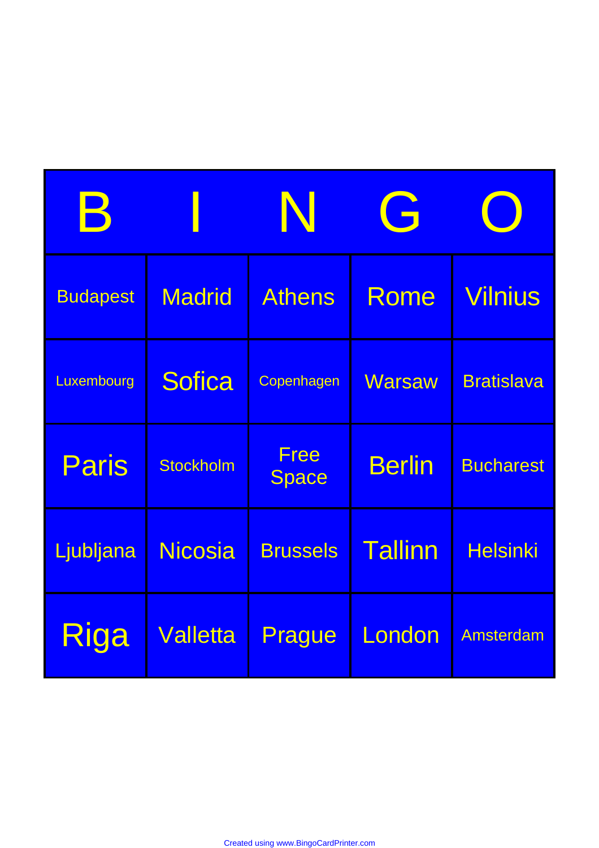| B               |                  | N                    | G              |                   |
|-----------------|------------------|----------------------|----------------|-------------------|
| <b>Budapest</b> | <b>Madrid</b>    | <b>Athens</b>        | Rome           | <b>Vilnius</b>    |
| Luxembourg      | <b>Sofica</b>    | Copenhagen           | <b>Warsaw</b>  | <b>Bratislava</b> |
| Paris           | <b>Stockholm</b> | Free<br><b>Space</b> | <b>Berlin</b>  | <b>Bucharest</b>  |
| Ljubljana       | <b>Nicosia</b>   | <b>Brussels</b>      | <b>Tallinn</b> | <b>Helsinki</b>   |
| Riga            | <b>Valletta</b>  | Prague               | London         | Amsterdam         |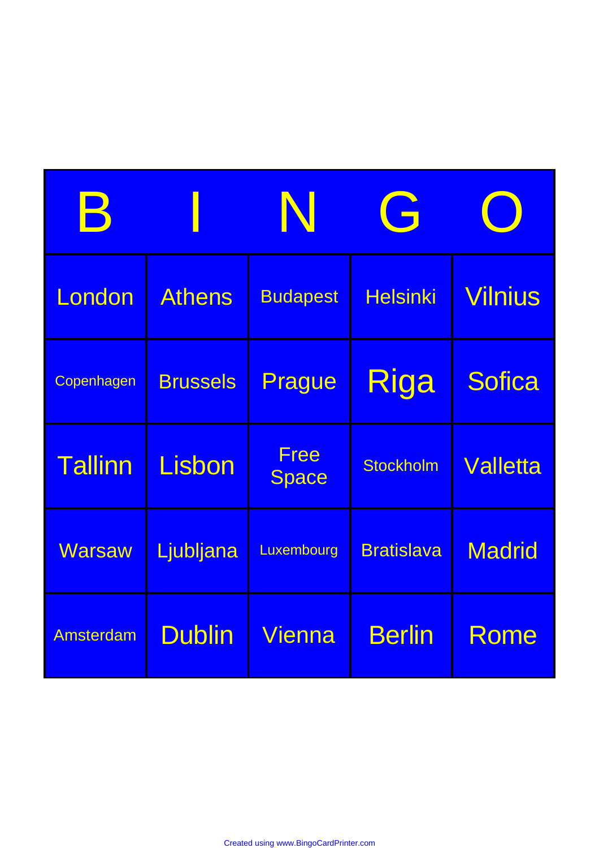| B                |                 | N                    | G                 |                 |
|------------------|-----------------|----------------------|-------------------|-----------------|
| London           | <b>Athens</b>   | <b>Budapest</b>      | <b>Helsinki</b>   | <b>Vilnius</b>  |
| Copenhagen       | <b>Brussels</b> | Prague               | Riga              | <b>Sofica</b>   |
| <b>Tallinn</b>   | Lisbon          | <b>Free</b><br>Space | <b>Stockholm</b>  | <b>Valletta</b> |
| <b>Warsaw</b>    | Ljubljana       | Luxembourg           | <b>Bratislava</b> | <b>Madrid</b>   |
| <b>Amsterdam</b> | <b>Dublin</b>   | Vienna               | <b>Berlin</b>     | Rome            |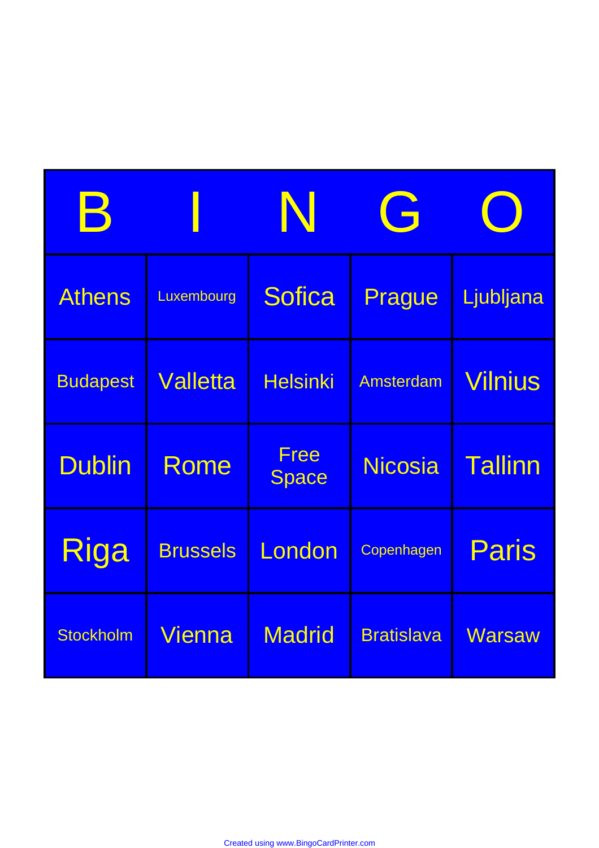| $\bm{\mathsf{B}}$ |                 | N                           | G                 |                |
|-------------------|-----------------|-----------------------------|-------------------|----------------|
| <b>Athens</b>     | Luxembourg      | <b>Sofica</b>               | Prague            | Ljubljana      |
| <b>Budapest</b>   | <b>Valletta</b> | <b>Helsinki</b>             | Amsterdam         | <b>Vilnius</b> |
| <b>Dublin</b>     | Rome            | <b>Free</b><br><b>Space</b> | <b>Nicosia</b>    | <b>Tallinn</b> |
| Riga              | <b>Brussels</b> | London                      | Copenhagen        | Paris          |
| <b>Stockholm</b>  | Vienna          | <b>Madrid</b>               | <b>Bratislava</b> | <b>Warsaw</b>  |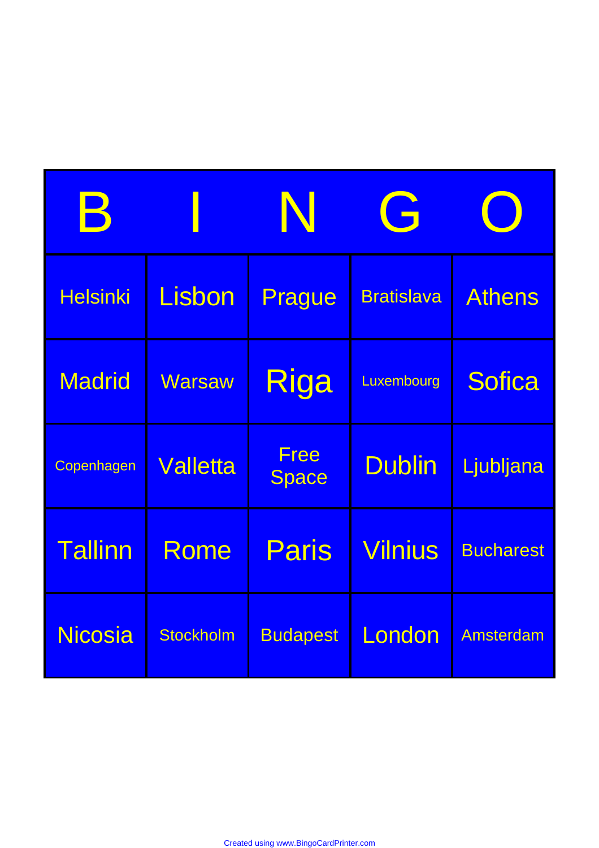| В               |                 | N                    | G                 |                  |
|-----------------|-----------------|----------------------|-------------------|------------------|
| <b>Helsinki</b> | Lisbon          | Prague               | <b>Bratislava</b> | <b>Athens</b>    |
| <b>Madrid</b>   | <b>Warsaw</b>   | Riga                 | Luxembourg        | <b>Sofica</b>    |
| Copenhagen      | <b>Valletta</b> | Free<br><b>Space</b> | <b>Dublin</b>     | Ljubljana        |
| <b>Tallinn</b>  | Rome            | Paris                | <b>Vilnius</b>    | <b>Bucharest</b> |
| <b>Nicosia</b>  | Stockholm       | <b>Budapest</b>      | London            | <b>Amsterdam</b> |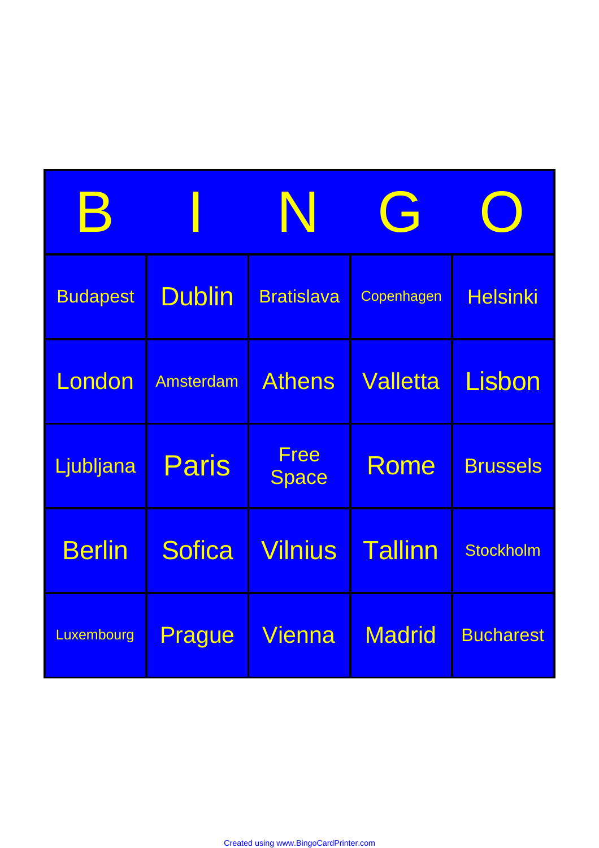| $\bm{\mathsf{B}}$ |                  | N                    | G               |                  |
|-------------------|------------------|----------------------|-----------------|------------------|
| <b>Budapest</b>   | <b>Dublin</b>    | <b>Bratislava</b>    | Copenhagen      | <b>Helsinki</b>  |
| London            | <b>Amsterdam</b> | <b>Athens</b>        | <b>Valletta</b> | Lisbon           |
| Ljubljana         | <b>Paris</b>     | Free<br><b>Space</b> | Rome            | <b>Brussels</b>  |
| <b>Berlin</b>     | <b>Sofica</b>    | <b>Vilnius</b>       | <b>Tallinn</b>  | <b>Stockholm</b> |
| Luxembourg        | Prague           | Vienna               | <b>Madrid</b>   | <b>Bucharest</b> |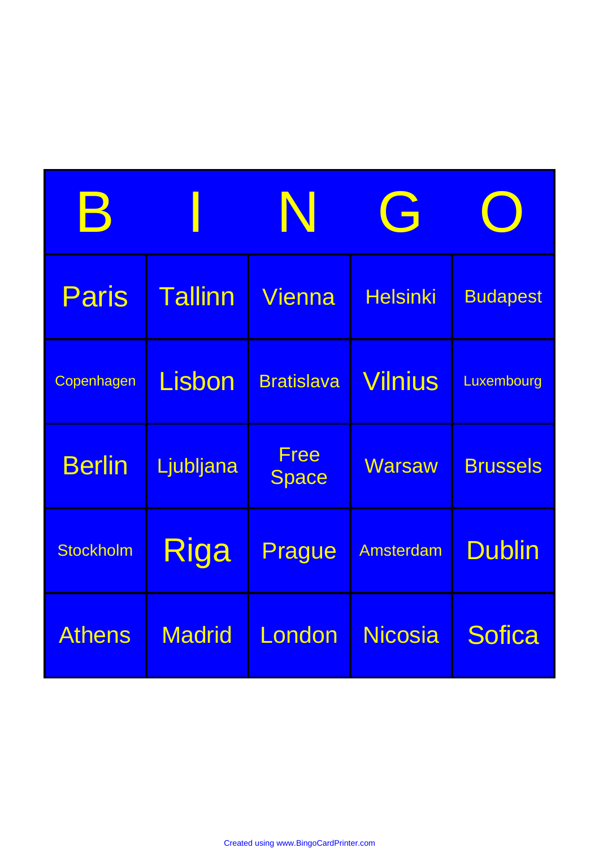| В                |                | N                           | G                |                 |
|------------------|----------------|-----------------------------|------------------|-----------------|
| <b>Paris</b>     | <b>Tallinn</b> | Vienna                      | <b>Helsinki</b>  | <b>Budapest</b> |
| Copenhagen       | Lisbon         | <b>Bratislava</b>           | <b>Vilnius</b>   | Luxembourg      |
| <b>Berlin</b>    | Ljubljana      | <b>Free</b><br><b>Space</b> | <b>Warsaw</b>    | <b>Brussels</b> |
| <b>Stockholm</b> | Riga           | Prague                      | <b>Amsterdam</b> | <b>Dublin</b>   |
| <b>Athens</b>    | <b>Madrid</b>  | London                      | <b>Nicosia</b>   | <b>Sofica</b>   |